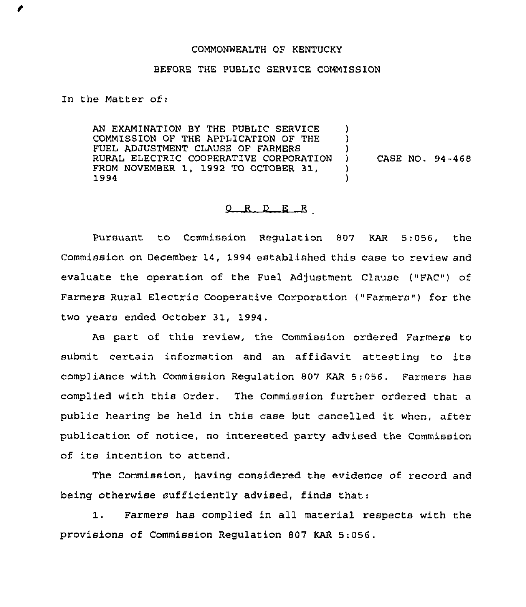## COMMONWEALTH OF KENTUCKY

## BEFORE 'THE PUBLIC SERVICE COMMISSION

In the Matter of:

AN EXAMINATION BY THE PUBLIC SERVICE COMMISSION OF THE APPLICATION OF THE FUEL ADJUSTMENT CLAUSE OF FARMERS RURAL ELECTRIC COOPERATIVE CORPORATION FROM NOVEMBER 1, 1992 TO OCTOBER 31, 1994 ) )  $\lambda$ ) CASE NO. 94-468 ) )

## 0 R <sup>D</sup> E R

Pursuant to Commission Regulation 807 KAR 5:056, the Commission on December 14, 1994 established this case to review and evaluate the operation of the Fuel Adjustment Clause ("FAC") of Farmers Rural Electric Cooperative Corporation ("Farmers") for the two years ended Octobex 31, 1994.

As part of this review, the Commission ordered Farmers to submit certain infoxmation and an affidavit attesting to its compliance with Commission Regulation 807 KAR 5;056. Farmers has complied with this Order. The Commission further ordered that a public hearing be held in this case but cancelled it when, after publication of notice, no interested party advised the Commission of its intention to attend.

The Commission, having considered the evidence of record and being otherwise sufficiently advised, finds that:

1. Farmers has complied in all material respects with the provisions of Commission Regulation 807 KAR 5:056.